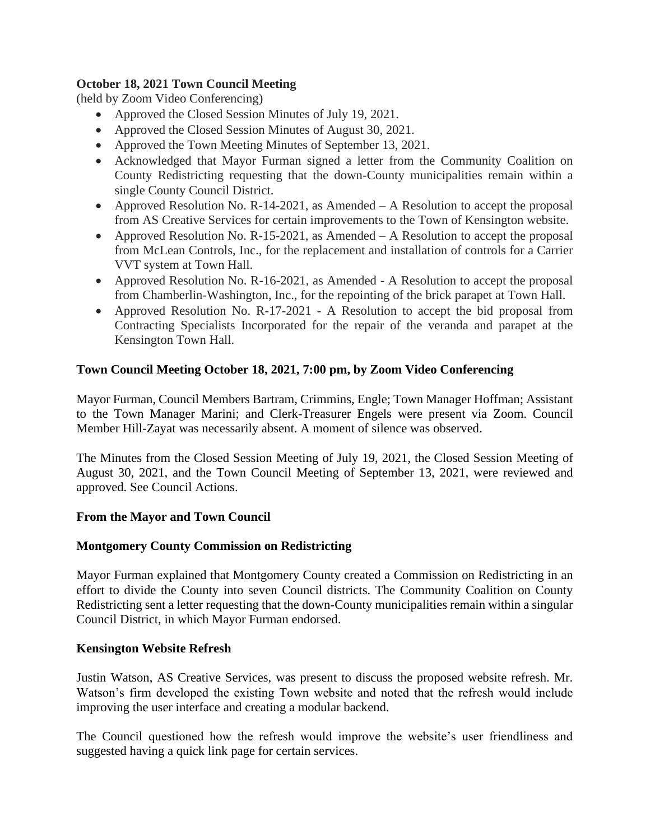## **October 18, 2021 Town Council Meeting**

(held by Zoom Video Conferencing)

- Approved the Closed Session Minutes of July 19, 2021.
- Approved the Closed Session Minutes of August 30, 2021.
- Approved the Town Meeting Minutes of September 13, 2021.
- Acknowledged that Mayor Furman signed a letter from the Community Coalition on County Redistricting requesting that the down-County municipalities remain within a single County Council District.
- Approved Resolution No. R-14-2021, as Amended A Resolution to accept the proposal from AS Creative Services for certain improvements to the Town of Kensington website.
- Approved Resolution No. R-15-2021, as Amended A Resolution to accept the proposal from McLean Controls, Inc., for the replacement and installation of controls for a Carrier VVT system at Town Hall.
- Approved Resolution No. R-16-2021, as Amended A Resolution to accept the proposal from Chamberlin-Washington, Inc., for the repointing of the brick parapet at Town Hall.
- Approved Resolution No. R-17-2021 A Resolution to accept the bid proposal from Contracting Specialists Incorporated for the repair of the veranda and parapet at the Kensington Town Hall.

# **Town Council Meeting October 18, 2021, 7:00 pm, by Zoom Video Conferencing**

Mayor Furman, Council Members Bartram, Crimmins, Engle; Town Manager Hoffman; Assistant to the Town Manager Marini; and Clerk-Treasurer Engels were present via Zoom. Council Member Hill-Zayat was necessarily absent. A moment of silence was observed.

The Minutes from the Closed Session Meeting of July 19, 2021, the Closed Session Meeting of August 30, 2021, and the Town Council Meeting of September 13, 2021, were reviewed and approved. See Council Actions.

## **From the Mayor and Town Council**

## **Montgomery County Commission on Redistricting**

Mayor Furman explained that Montgomery County created a Commission on Redistricting in an effort to divide the County into seven Council districts. The Community Coalition on County Redistricting sent a letter requesting that the down-County municipalities remain within a singular Council District, in which Mayor Furman endorsed.

## **Kensington Website Refresh**

Justin Watson, AS Creative Services, was present to discuss the proposed website refresh. Mr. Watson's firm developed the existing Town website and noted that the refresh would include improving the user interface and creating a modular backend.

The Council questioned how the refresh would improve the website's user friendliness and suggested having a quick link page for certain services.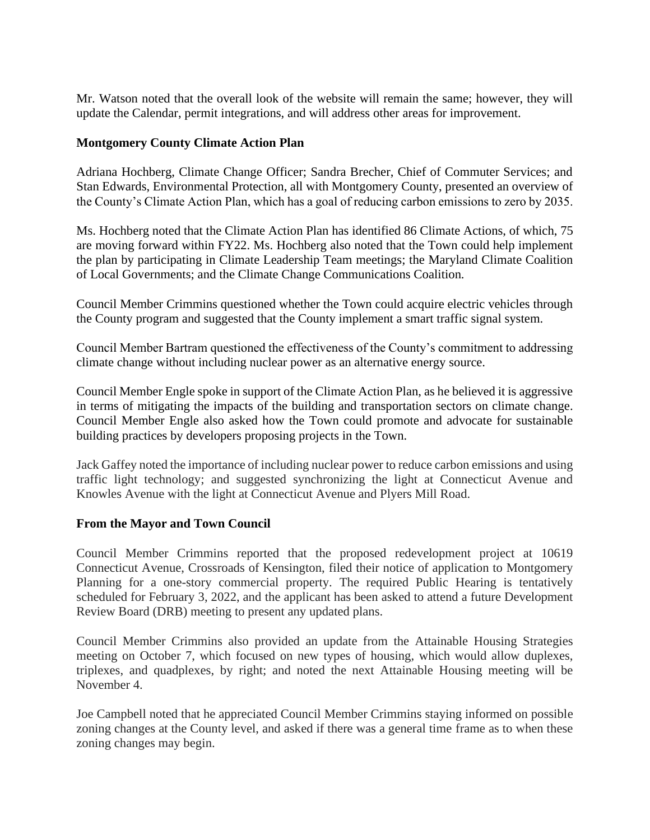Mr. Watson noted that the overall look of the website will remain the same; however, they will update the Calendar, permit integrations, and will address other areas for improvement.

### **Montgomery County Climate Action Plan**

Adriana Hochberg, Climate Change Officer; Sandra Brecher, Chief of Commuter Services; and Stan Edwards, Environmental Protection, all with Montgomery County, presented an overview of the County's Climate Action Plan, which has a goal of reducing carbon emissions to zero by 2035.

Ms. Hochberg noted that the Climate Action Plan has identified 86 Climate Actions, of which, 75 are moving forward within FY22. Ms. Hochberg also noted that the Town could help implement the plan by participating in Climate Leadership Team meetings; the Maryland Climate Coalition of Local Governments; and the Climate Change Communications Coalition.

Council Member Crimmins questioned whether the Town could acquire electric vehicles through the County program and suggested that the County implement a smart traffic signal system.

Council Member Bartram questioned the effectiveness of the County's commitment to addressing climate change without including nuclear power as an alternative energy source.

Council Member Engle spoke in support of the Climate Action Plan, as he believed it is aggressive in terms of mitigating the impacts of the building and transportation sectors on climate change. Council Member Engle also asked how the Town could promote and advocate for sustainable building practices by developers proposing projects in the Town.

Jack Gaffey noted the importance of including nuclear power to reduce carbon emissions and using traffic light technology; and suggested synchronizing the light at Connecticut Avenue and Knowles Avenue with the light at Connecticut Avenue and Plyers Mill Road.

#### **From the Mayor and Town Council**

Council Member Crimmins reported that the proposed redevelopment project at 10619 Connecticut Avenue, Crossroads of Kensington, filed their notice of application to Montgomery Planning for a one-story commercial property. The required Public Hearing is tentatively scheduled for February 3, 2022, and the applicant has been asked to attend a future Development Review Board (DRB) meeting to present any updated plans.

Council Member Crimmins also provided an update from the Attainable Housing Strategies meeting on October 7, which focused on new types of housing, which would allow duplexes, triplexes, and quadplexes, by right; and noted the next Attainable Housing meeting will be November 4.

Joe Campbell noted that he appreciated Council Member Crimmins staying informed on possible zoning changes at the County level, and asked if there was a general time frame as to when these zoning changes may begin.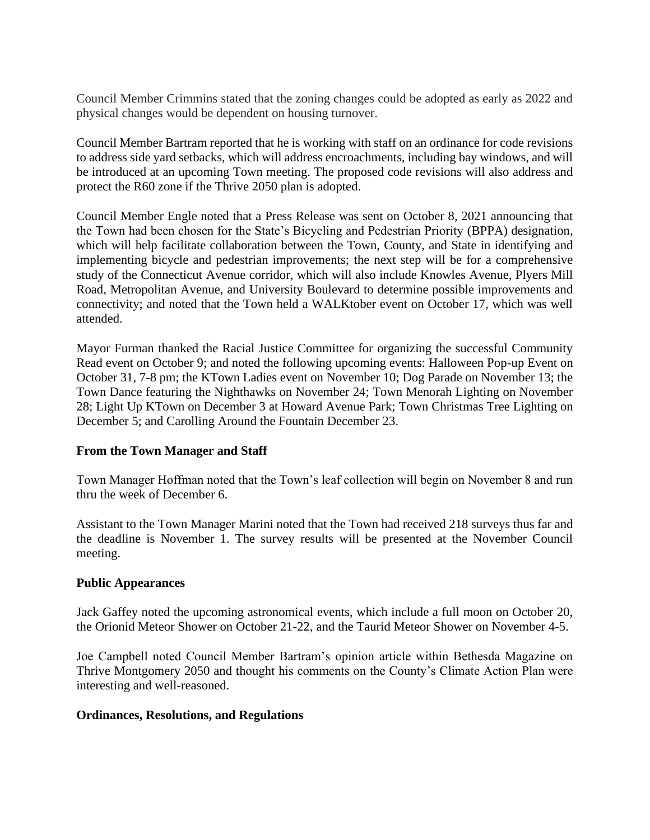Council Member Crimmins stated that the zoning changes could be adopted as early as 2022 and physical changes would be dependent on housing turnover.

Council Member Bartram reported that he is working with staff on an ordinance for code revisions to address side yard setbacks, which will address encroachments, including bay windows, and will be introduced at an upcoming Town meeting. The proposed code revisions will also address and protect the R60 zone if the Thrive 2050 plan is adopted.

Council Member Engle noted that a Press Release was sent on October 8, 2021 announcing that the Town had been chosen for the State's Bicycling and Pedestrian Priority (BPPA) designation, which will help facilitate collaboration between the Town, County, and State in identifying and implementing bicycle and pedestrian improvements; the next step will be for a comprehensive study of the Connecticut Avenue corridor, which will also include Knowles Avenue, Plyers Mill Road, Metropolitan Avenue, and University Boulevard to determine possible improvements and connectivity; and noted that the Town held a WALKtober event on October 17, which was well attended.

Mayor Furman thanked the Racial Justice Committee for organizing the successful Community Read event on October 9; and noted the following upcoming events: Halloween Pop-up Event on October 31, 7-8 pm; the KTown Ladies event on November 10; Dog Parade on November 13; the Town Dance featuring the Nighthawks on November 24; Town Menorah Lighting on November 28; Light Up KTown on December 3 at Howard Avenue Park; Town Christmas Tree Lighting on December 5; and Carolling Around the Fountain December 23.

#### **From the Town Manager and Staff**

Town Manager Hoffman noted that the Town's leaf collection will begin on November 8 and run thru the week of December 6.

Assistant to the Town Manager Marini noted that the Town had received 218 surveys thus far and the deadline is November 1. The survey results will be presented at the November Council meeting.

#### **Public Appearances**

Jack Gaffey noted the upcoming astronomical events, which include a full moon on October 20, the Orionid Meteor Shower on October 21-22, and the Taurid Meteor Shower on November 4-5.

Joe Campbell noted Council Member Bartram's opinion article within Bethesda Magazine on Thrive Montgomery 2050 and thought his comments on the County's Climate Action Plan were interesting and well-reasoned.

#### **Ordinances, Resolutions, and Regulations**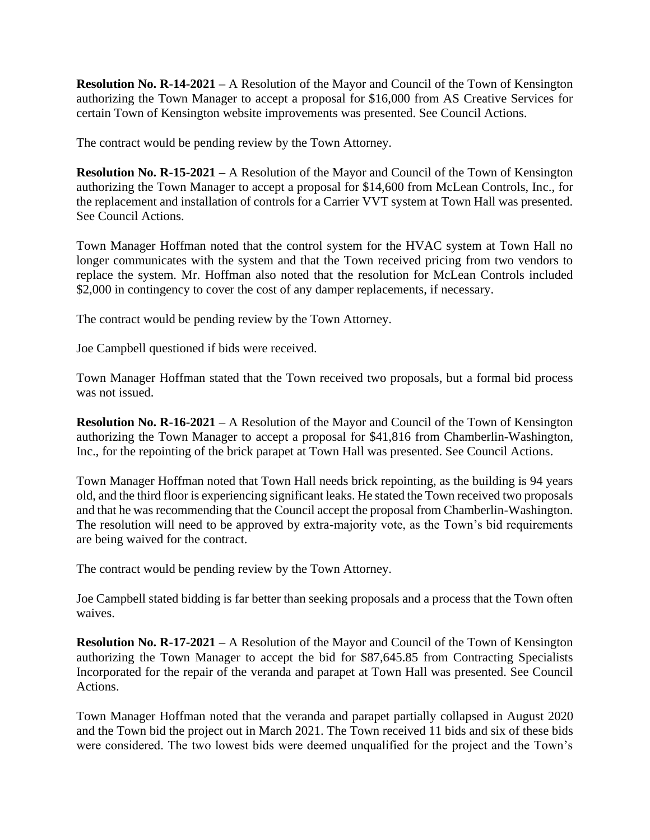**Resolution No. R-14-2021 –** A Resolution of the Mayor and Council of the Town of Kensington authorizing the Town Manager to accept a proposal for \$16,000 from AS Creative Services for certain Town of Kensington website improvements was presented. See Council Actions.

The contract would be pending review by the Town Attorney.

**Resolution No. R-15-2021 –** A Resolution of the Mayor and Council of the Town of Kensington authorizing the Town Manager to accept a proposal for \$14,600 from McLean Controls, Inc., for the replacement and installation of controls for a Carrier VVT system at Town Hall was presented. See Council Actions.

Town Manager Hoffman noted that the control system for the HVAC system at Town Hall no longer communicates with the system and that the Town received pricing from two vendors to replace the system. Mr. Hoffman also noted that the resolution for McLean Controls included \$2,000 in contingency to cover the cost of any damper replacements, if necessary.

The contract would be pending review by the Town Attorney.

Joe Campbell questioned if bids were received.

Town Manager Hoffman stated that the Town received two proposals, but a formal bid process was not issued.

**Resolution No. R-16-2021 –** A Resolution of the Mayor and Council of the Town of Kensington authorizing the Town Manager to accept a proposal for \$41,816 from Chamberlin-Washington, Inc., for the repointing of the brick parapet at Town Hall was presented. See Council Actions.

Town Manager Hoffman noted that Town Hall needs brick repointing, as the building is 94 years old, and the third floor is experiencing significant leaks. He stated the Town received two proposals and that he was recommending that the Council accept the proposal from Chamberlin-Washington. The resolution will need to be approved by extra-majority vote, as the Town's bid requirements are being waived for the contract.

The contract would be pending review by the Town Attorney.

Joe Campbell stated bidding is far better than seeking proposals and a process that the Town often waives.

**Resolution No. R-17-2021 –** A Resolution of the Mayor and Council of the Town of Kensington authorizing the Town Manager to accept the bid for \$87,645.85 from Contracting Specialists Incorporated for the repair of the veranda and parapet at Town Hall was presented. See Council Actions.

Town Manager Hoffman noted that the veranda and parapet partially collapsed in August 2020 and the Town bid the project out in March 2021. The Town received 11 bids and six of these bids were considered. The two lowest bids were deemed unqualified for the project and the Town's